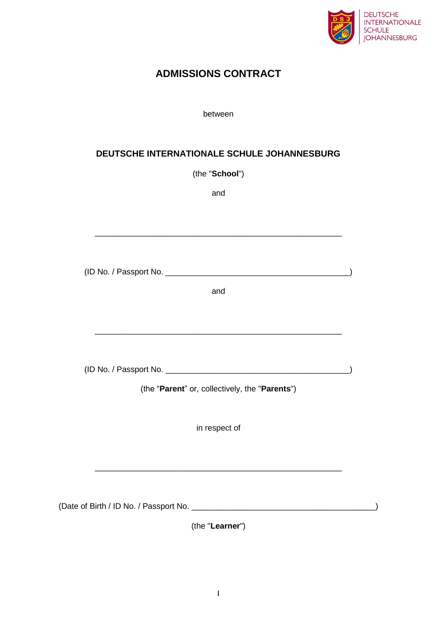

# **ADMISSIONS CONTRACT**

### between

# **DEUTSCHE INTERNATIONALE SCHULE JOHANNESBURG**

(the "**School**")

and

\_\_\_\_\_\_\_\_\_\_\_\_\_\_\_\_\_\_\_\_\_\_\_\_\_\_\_\_\_\_\_\_\_\_\_\_\_\_\_\_\_\_\_\_\_\_\_\_\_\_\_\_\_\_\_

| and                                            |  |
|------------------------------------------------|--|
|                                                |  |
|                                                |  |
|                                                |  |
|                                                |  |
| (the "Parent" or, collectively, the "Parents") |  |
|                                                |  |
| in respect of                                  |  |
|                                                |  |
|                                                |  |
|                                                |  |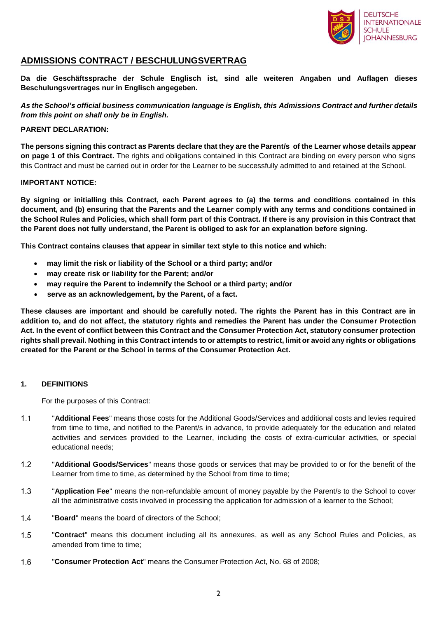

### **ADMISSIONS CONTRACT / BESCHULUNGSVERTRAG**

**Da die Geschäftssprache der Schule Englisch ist, sind alle weiteren Angaben und Auflagen dieses Beschulungsvertrages nur in Englisch angegeben.**

*As the School's official business communication language is English, this Admissions Contract and further details from this point on shall only be in English.*

### **PARENT DECLARATION:**

**The persons signing this contract as Parents declare that they are the Parent/s of the Learner whose details appear on page 1 of this Contract.** The rights and obligations contained in this Contract are binding on every person who signs this Contract and must be carried out in order for the Learner to be successfully admitted to and retained at the School.

### **IMPORTANT NOTICE:**

**By signing or initialling this Contract, each Parent agrees to (a) the terms and conditions contained in this document, and (b) ensuring that the Parents and the Learner comply with any terms and conditions contained in the School Rules and Policies, which shall form part of this Contract. If there is any provision in this Contract that the Parent does not fully understand, the Parent is obliged to ask for an explanation before signing.** 

**This Contract contains clauses that appear in similar text style to this notice and which:**

- **may limit the risk or liability of the School or a third party; and/or**
- **may create risk or liability for the Parent; and/or**
- **may require the Parent to indemnify the School or a third party; and/or**
- **serve as an acknowledgement, by the Parent, of a fact.**

**These clauses are important and should be carefully noted. The rights the Parent has in this Contract are in addition to, and do not affect, the statutory rights and remedies the Parent has under the Consumer Protection Act. In the event of conflict between this Contract and the Consumer Protection Act, statutory consumer protection rights shall prevail. Nothing in this Contract intends to or attempts to restrict, limit or avoid any rights or obligations created for the Parent or the School in terms of the Consumer Protection Act.**

### **1. DEFINITIONS**

For the purposes of this Contract:

- $1.1$ "**Additional Fees**" means those costs for the Additional Goods/Services and additional costs and levies required from time to time, and notified to the Parent/s in advance, to provide adequately for the education and related activities and services provided to the Learner, including the costs of extra-curricular activities, or special educational needs;
- $1.2$ "**Additional Goods/Services**" means those goods or services that may be provided to or for the benefit of the Learner from time to time, as determined by the School from time to time;
- $1.3$ "**Application Fee**" means the non-refundable amount of money payable by the Parent/s to the School to cover all the administrative costs involved in processing the application for admission of a learner to the School;
- $1.4$ "**Board**" means the board of directors of the School;
- $1.5$ "**Contract**" means this document including all its annexures, as well as any School Rules and Policies, as amended from time to time;
- $1.6$ "**Consumer Protection Act**" means the Consumer Protection Act, No. 68 of 2008;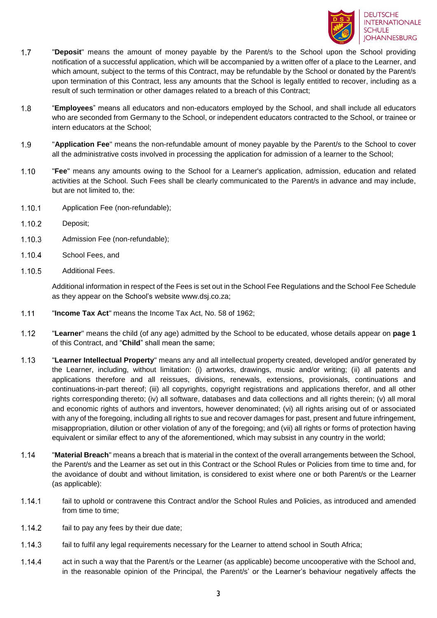

- $1.7$ "**Deposit**" means the amount of money payable by the Parent/s to the School upon the School providing notification of a successful application, which will be accompanied by a written offer of a place to the Learner, and which amount, subject to the terms of this Contract, may be refundable by the School or donated by the Parent/s upon termination of this Contract, less any amounts that the School is legally entitled to recover, including as a result of such termination or other damages related to a breach of this Contract;
- $1.8$ "**Employees**" means all educators and non-educators employed by the School, and shall include all educators who are seconded from Germany to the School, or independent educators contracted to the School, or trainee or intern educators at the School;
- 1.9 "**Application Fee**" means the non-refundable amount of money payable by the Parent/s to the School to cover all the administrative costs involved in processing the application for admission of a learner to the School;
- $1.10$ "**Fee**" means any amounts owing to the School for a Learner's application, admission, education and related activities at the School. Such Fees shall be clearly communicated to the Parent/s in advance and may include, but are not limited to, the:
- Application Fee (non-refundable);  $1.10.1$
- $1.10.2$ Deposit;
- $1.10.3$ Admission Fee (non-refundable);
- 1.10.4 School Fees, and
- 1.10.5 Additional Fees.

Additional information in respect of the Fees is set out in the School Fee Regulations and the School Fee Schedule as they appear on the School's website www.dsj.co.za;

- $1.11$ "**Income Tax Act**" means the Income Tax Act, No. 58 of 1962;
- $1.12$ "**Learner**" means the child (of any age) admitted by the School to be educated, whose details appear on **page 1** of this Contract, and "**Child**" shall mean the same;
- $1.13$ "**Learner Intellectual Property**" means any and all intellectual property created, developed and/or generated by the Learner, including, without limitation: (i) artworks, drawings, music and/or writing; (ii) all patents and applications therefore and all reissues, divisions, renewals, extensions, provisionals, continuations and continuations-in-part thereof; (iii) all copyrights, copyright registrations and applications therefor, and all other rights corresponding thereto; (iv) all software, databases and data collections and all rights therein; (v) all moral and economic rights of authors and inventors, however denominated; (vi) all rights arising out of or associated with any of the foregoing, including all rights to sue and recover damages for past, present and future infringement, misappropriation, dilution or other violation of any of the foregoing; and (vii) all rights or forms of protection having equivalent or similar effect to any of the aforementioned, which may subsist in any country in the world;
- $1.14$ "**Material Breach**" means a breach that is material in the context of the overall arrangements between the School, the Parent/s and the Learner as set out in this Contract or the School Rules or Policies from time to time and, for the avoidance of doubt and without limitation, is considered to exist where one or both Parent/s or the Learner (as applicable):
- $1.14.1$ fail to uphold or contravene this Contract and/or the School Rules and Policies, as introduced and amended from time to time;
- $1.14.2$ fail to pay any fees by their due date;
- $1.14.3$ fail to fulfil any legal requirements necessary for the Learner to attend school in South Africa;
- 1.14.4 act in such a way that the Parent/s or the Learner (as applicable) become uncooperative with the School and, in the reasonable opinion of the Principal, the Parent/s' or the Learner's behaviour negatively affects the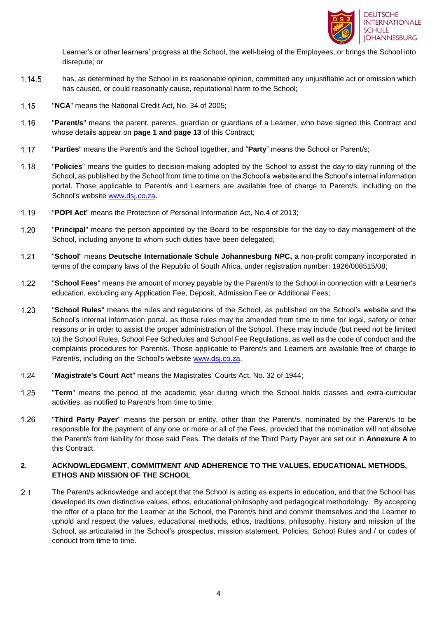

Learner's or other learners' progress at the School, the well-being of the Employees, or brings the School into disrepute; or

- 1.14.5 has, as determined by the School in its reasonable opinion, committed any unjustifiable act or omission which has caused, or could reasonably cause, reputational harm to the School;
- $1.15$ "**NCA**" means the National Credit Act, No. 34 of 2005;
- $1.16$ "**Parent/s**" means the parent, parents, guardian or guardians of a Learner, who have signed this Contract and whose details appear on **page 1 and page 13** of this Contract;
- $1.17$ "**Parties**" means the Parent/s and the School together, and "**Party**" means the School or Parent/s;
- $1.18$ "**Policies**" means the guides to decision-making adopted by the School to assist the day-to-day running of the School, as published by the School from time to time on the School's website and the School's internal information portal. Those applicable to Parent/s and Learners are available free of charge to Parent/s, including on the School's website [www.dsj.co.za.](http://www.dsj.co.za/)
- "**POPI Act**" means the Protection of Personal Information Act, No.4 of 2013;  $1.19$
- $1.20$ "**Principal**" means the person appointed by the Board to be responsible for the day-to-day management of the School, including anyone to whom such duties have been delegated;
- $1.21$ "**School**" means **Deutsche Internationale Schule Johannesburg NPC,** a non-profit company incorporated in terms of the company laws of the Republic of South Africa, under registration number: 1926/008515/08;
- $1.22$ "**School Fees**" means the amount of money payable by the Parent/s to the School in connection with a Learner's education, excluding any Application Fee, Deposit, Admission Fee or Additional Fees;
- $1.23$ "**School Rules**" means the rules and regulations of the School, as published on the School's website and the School's internal information portal, as those rules may be amended from time to time for legal, safety or other reasons or in order to assist the proper administration of the School. These may include (but need not be limited to) the School Rules, School Fee Schedules and School Fee Regulations, as well as the code of conduct and the complaints procedures for Parent/s. Those applicable to Parent/s and Learners are available free of charge to Parent/s, including on the School's website [www.dsj.co.za.](http://www.dsj.co.za/)
- $1.24$ "**Magistrate's Court Act**" means the Magistrates' Courts Act, No. 32 of 1944;
- $1.25$ "**Term**" means the period of the academic year during which the School holds classes and extra-curricular activities, as notified to Parent/s from time to time;
- 1.26 "**Third Party Payer**" means the person or entity, other than the Parent/s, nominated by the Parent/s to be responsible for the payment of any one or more or all of the Fees, provided that the nomination will not absolve the Parent/s from liability for those said Fees. The details of the Third Party Payer are set out in **Annexure A** to this Contract.

### **2. ACKNOWLEDGMENT, COMMITMENT AND ADHERENCE TO THE VALUES, EDUCATIONAL METHODS, ETHOS AND MISSION OF THE SCHOOL**

 $2.1$ The Parent/s acknowledge and accept that the School is acting as experts in education, and that the School has developed its own distinctive values, ethos, educational philosophy and pedagogical methodology. By accepting the offer of a place for the Learner at the School, the Parent/s bind and commit themselves and the Learner to uphold and respect the values, educational methods, ethos, traditions, philosophy, history and mission of the School, as articulated in the School's prospectus, mission statement, Policies, School Rules and / or codes of conduct from time to time.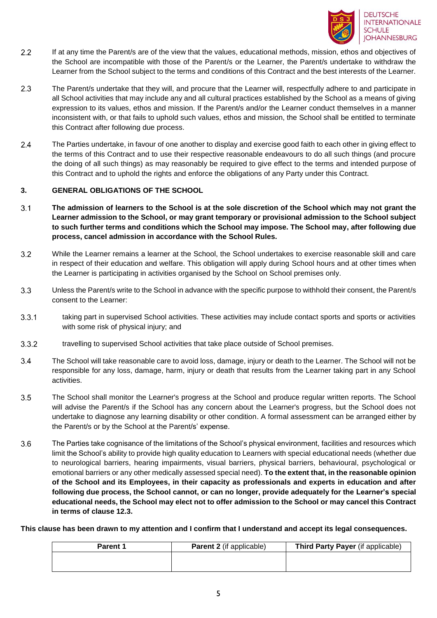

- $2.2$ If at any time the Parent/s are of the view that the values, educational methods, mission, ethos and objectives of the School are incompatible with those of the Parent/s or the Learner, the Parent/s undertake to withdraw the Learner from the School subject to the terms and conditions of this Contract and the best interests of the Learner.
- $2.3$ The Parent/s undertake that they will, and procure that the Learner will, respectfully adhere to and participate in all School activities that may include any and all cultural practices established by the School as a means of giving expression to its values, ethos and mission. If the Parent/s and/or the Learner conduct themselves in a manner inconsistent with, or that fails to uphold such values, ethos and mission, the School shall be entitled to terminate this Contract after following due process.
- $2.4$ The Parties undertake, in favour of one another to display and exercise good faith to each other in giving effect to the terms of this Contract and to use their respective reasonable endeavours to do all such things (and procure the doing of all such things) as may reasonably be required to give effect to the terms and intended purpose of this Contract and to uphold the rights and enforce the obligations of any Party under this Contract.

### **3. GENERAL OBLIGATIONS OF THE SCHOOL**

- $3.1$ **The admission of learners to the School is at the sole discretion of the School which may not grant the Learner admission to the School, or may grant temporary or provisional admission to the School subject to such further terms and conditions which the School may impose. The School may, after following due process, cancel admission in accordance with the School Rules.**
- $3.2$ While the Learner remains a learner at the School, the School undertakes to exercise reasonable skill and care in respect of their education and welfare. This obligation will apply during School hours and at other times when the Learner is participating in activities organised by the School on School premises only.
- $3.3$ Unless the Parent/s write to the School in advance with the specific purpose to withhold their consent, the Parent/s consent to the Learner:
- $3.3.1$ taking part in supervised School activities. These activities may include contact sports and sports or activities with some risk of physical injury; and
- $3.3.2$ travelling to supervised School activities that take place outside of School premises.
- $3.4$ The School will take reasonable care to avoid loss, damage, injury or death to the Learner. The School will not be responsible for any loss, damage, harm, injury or death that results from the Learner taking part in any School activities.
- $3.5$ The School shall monitor the Learner's progress at the School and produce regular written reports. The School will advise the Parent/s if the School has any concern about the Learner's progress, but the School does not undertake to diagnose any learning disability or other condition. A formal assessment can be arranged either by the Parent/s or by the School at the Parent/s' expense.
- <span id="page-4-0"></span>3.6 The Parties take cognisance of the limitations of the School's physical environment, facilities and resources which limit the School's ability to provide high quality education to Learners with special educational needs (whether due to neurological barriers, hearing impairments, visual barriers, physical barriers, behavioural, psychological or emotional barriers or any other medically assessed special need). **To the extent that, in the reasonable opinion of the School and its Employees, in their capacity as professionals and experts in education and after following due process, the School cannot, or can no longer, provide adequately for the Learner's special educational needs, the School may elect not to offer admission to the School or may cancel this Contract in terms of clause 12.3.**

**This clause has been drawn to my attention and I confirm that I understand and accept its legal consequences.**

| <b>Parent 1</b> | <b>Parent 2</b> (if applicable) | Third Party Payer (if applicable) |
|-----------------|---------------------------------|-----------------------------------|
|                 |                                 |                                   |
|                 |                                 |                                   |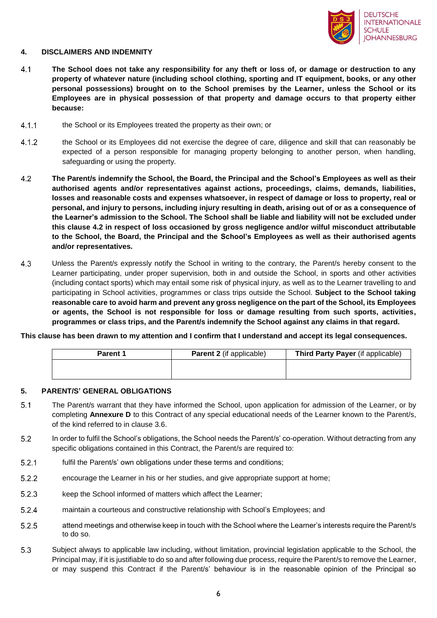

### **4. DISCLAIMERS AND INDEMNITY**

- $4.1$ **The School does not take any responsibility for any theft or loss of, or damage or destruction to any property of whatever nature (including school clothing, sporting and IT equipment, books, or any other personal possessions) brought on to the School premises by the Learner, unless the School or its Employees are in physical possession of that property and damage occurs to that property either because:**
- $4.1.1$ the School or its Employees treated the property as their own; or
- $4.1.2$ the School or its Employees did not exercise the degree of care, diligence and skill that can reasonably be expected of a person responsible for managing property belonging to another person, when handling, safeguarding or using the property.
- <span id="page-5-0"></span> $4.2$ **The Parent/s indemnify the School, the Board, the Principal and the School's Employees as well as their authorised agents and/or representatives against actions, proceedings, claims, demands, liabilities, losses and reasonable costs and expenses whatsoever, in respect of damage or loss to property, real or personal, and injury to persons, including injury resulting in death, arising out of or as a consequence of the Learner's admission to the School. The School shall be liable and liability will not be excluded under this clause [4.2](#page-5-0) in respect of loss occasioned by gross negligence and/or wilful misconduct attributable to the School, the Board, the Principal and the School's Employees as well as their authorised agents and/or representatives.**
- 4.3 Unless the Parent/s expressly notify the School in writing to the contrary, the Parent/s hereby consent to the Learner participating, under proper supervision, both in and outside the School, in sports and other activities (including contact sports) which may entail some risk of physical injury, as well as to the Learner travelling to and participating in School activities, programmes or class trips outside the School. **Subject to the School taking reasonable care to avoid harm and prevent any gross negligence on the part of the School, its Employees or agents, the School is not responsible for loss or damage resulting from such sports, activities, programmes or class trips, and the Parent/s indemnify the School against any claims in that regard.**

**This clause has been drawn to my attention and I confirm that I understand and accept its legal consequences.**

| <b>Parent 1</b> | <b>Parent 2</b> (if applicable) | Third Party Payer (if applicable) |
|-----------------|---------------------------------|-----------------------------------|
|                 |                                 |                                   |
|                 |                                 |                                   |

### **5. PARENT/S' GENERAL OBLIGATIONS**

- $5.1$ The Parent/s warrant that they have informed the School, upon application for admission of the Learner, or by completing **Annexure D** to this Contract of any special educational needs of the Learner known to the Parent/s, of the kind referred to in clause [3.6.](#page-4-0)
- $5.2$ In order to fulfil the School's obligations, the School needs the Parent/s' co-operation. Without detracting from any specific obligations contained in this Contract, the Parent/s are required to:
- $5.2.1$ fulfil the Parent/s' own obligations under these terms and conditions;
- $5.2.2$ encourage the Learner in his or her studies, and give appropriate support at home;
- $5.2.3$ keep the School informed of matters which affect the Learner;
- $5.2.4$ maintain a courteous and constructive relationship with School's Employees; and
- $5.2.5$ attend meetings and otherwise keep in touch with the School where the Learner's interests require the Parent/s to do so.
- <span id="page-5-1"></span>5.3 Subject always to applicable law including, without limitation, provincial legislation applicable to the School, the Principal may, if it is justifiable to do so and after following due process, require the Parent/s to remove the Learner, or may suspend this Contract if the Parent/s' behaviour is in the reasonable opinion of the Principal so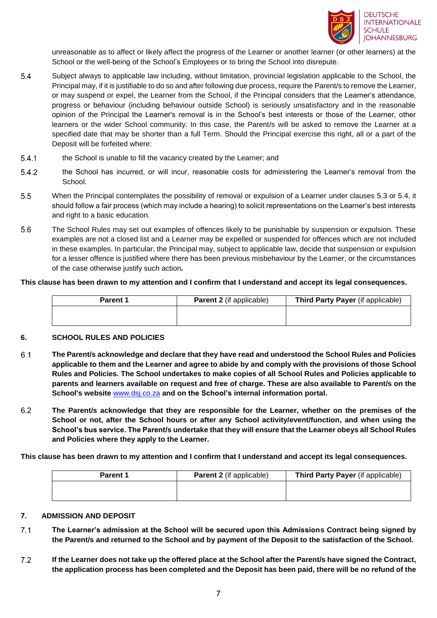

unreasonable as to affect or likely affect the progress of the Learner or another learner (or other learners) at the School or the well-being of the School's Employees or to bring the School into disrepute.

- <span id="page-6-0"></span>5.4 Subject always to applicable law including, without limitation, provincial legislation applicable to the School, the Principal may, if it is justifiable to do so and after following due process, require the Parent/s to remove the Learner, or may suspend or expel, the Learner from the School, if the Principal considers that the Learner's attendance, progress or behaviour (including behaviour outside School) is seriously unsatisfactory and in the reasonable opinion of the Principal the Learner's removal is in the School's best interests or those of the Learner, other learners or the wider School community. In this case, the Parent/s will be asked to remove the Learner at a specified date that may be shorter than a full Term. Should the Principal exercise this right, all or a part of the Deposit will be forfeited where:
- $5.4.1$ the School is unable to fill the vacancy created by the Learner; and
- $5.4.2$ the School has incurred, or will incur, reasonable costs for administering the Learner's removal from the School.
- $5.5$ When the Principal contemplates the possibility of removal or expulsion of a Learner under clauses [5.3](#page-5-1) or [5.4,](#page-6-0) it should follow a fair process (which may include a hearing) to solicit representations on the Learner's best interests and right to a basic education.
- 5.6 The School Rules may set out examples of offences likely to be punishable by suspension or expulsion. These examples are not a closed list and a Learner may be expelled or suspended for offences which are not included in these examples. In particular, the Principal may, subject to applicable law, decide that suspension or expulsion for a lesser offence is justified where there has been previous misbehaviour by the Learner, or the circumstances of the case otherwise justify such action*.*

#### **This clause has been drawn to my attention and I confirm that I understand and accept its legal consequences.**

| <b>Parent 1</b> | <b>Parent 2</b> (if applicable) | Third Party Payer (if applicable) |
|-----------------|---------------------------------|-----------------------------------|
|                 |                                 |                                   |

### **6. SCHOOL RULES AND POLICIES**

- $6.1$ **The Parent/s acknowledge and declare that they have read and understood the School Rules and Policies applicable to them and the Learner and agree to abide by and comply with the provisions of those School Rules and Policies. The School undertakes to make copies of all School Rules and Policies applicable to parents and learners available on request and free of charge. These are also available to Parent/s on the School's website** [www.dsj.co.za](http://www.dsj.co.za/) **and on the School's internal information portal.**
- 6.2 **The Parent/s acknowledge that they are responsible for the Learner, whether on the premises of the School or not, after the School hours or after any School activity/event/function, and when using the School's bus service. The Parent/s undertake that they will ensure that the Learner obeys all School Rules and Policies where they apply to the Learner.**

**This clause has been drawn to my attention and I confirm that I understand and accept its legal consequences.**

| <b>Parent 1</b> | <b>Parent 2</b> (if applicable) | Third Party Payer (if applicable) |
|-----------------|---------------------------------|-----------------------------------|
|                 |                                 |                                   |
|                 |                                 |                                   |

#### **7. ADMISSION AND DEPOSIT**

- $7.1$ **The Learner's admission at the School will be secured upon this Admissions Contract being signed by the Parent/s and returned to the School and by payment of the Deposit to the satisfaction of the School.**
- $7.2$ **If the Learner does not take up the offered place at the School after the Parent/s have signed the Contract, the application process has been completed and the Deposit has been paid, there will be no refund of the**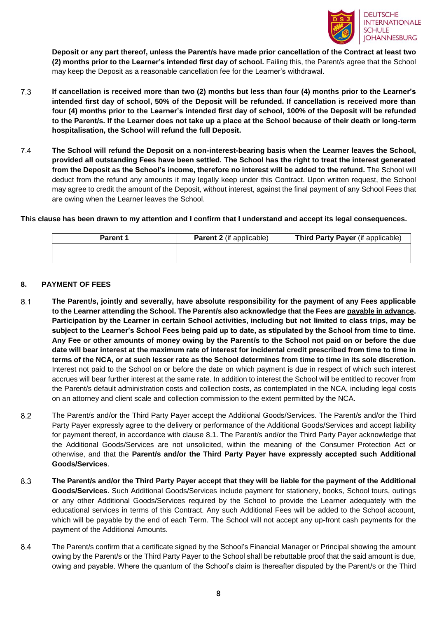

**Deposit or any part thereof, unless the Parent/s have made prior cancellation of the Contract at least two (2) months prior to the Learner's intended first day of school.** Failing this, the Parent/s agree that the School may keep the Deposit as a reasonable cancellation fee for the Learner's withdrawal.

- 7.3 **If cancellation is received more than two (2) months but less than four (4) months prior to the Learner's intended first day of school, 50% of the Deposit will be refunded. If cancellation is received more than four (4) months prior to the Learner's intended first day of school, 100% of the Deposit will be refunded to the Parent/s. If the Learner does not take up a place at the School because of their death or long-term hospitalisation, the School will refund the full Deposit.**
- $7.4$ **The School will refund the Deposit on a non-interest-bearing basis when the Learner leaves the School, provided all outstanding Fees have been settled. The School has the right to treat the interest generated from the Deposit as the School's income, therefore no interest will be added to the refund.** The School will deduct from the refund any amounts it may legally keep under this Contract. Upon written request, the School may agree to credit the amount of the Deposit, without interest, against the final payment of any School Fees that are owing when the Learner leaves the School.

**This clause has been drawn to my attention and I confirm that I understand and accept its legal consequences.**

| <b>Parent 1</b> | <b>Parent 2</b> (if applicable) | Third Party Payer (if applicable) |
|-----------------|---------------------------------|-----------------------------------|
|                 |                                 |                                   |
|                 |                                 |                                   |

### **8. PAYMENT OF FEES**

- <span id="page-7-0"></span> $8.1$ **The Parent/s, jointly and severally, have absolute responsibility for the payment of any Fees applicable to the Learner attending the School. The Parent/s also acknowledge that the Fees are payable in advance. Participation by the Learner in certain School activities, including but not limited to class trips, may be subject to the Learner's School Fees being paid up to date, as stipulated by the School from time to time. Any Fee or other amounts of money owing by the Parent/s to the School not paid on or before the due date will bear interest at the maximum rate of interest for incidental credit prescribed from time to time in terms of the NCA, or at such lesser rate as the School determines from time to time in its sole discretion.**  Interest not paid to the School on or before the date on which payment is due in respect of which such interest accrues will bear further interest at the same rate. In addition to interest the School will be entitled to recover from the Parent/s default administration costs and collection costs, as contemplated in the NCA, including legal costs on an attorney and client scale and collection commission to the extent permitted by the NCA.
- $8.2$ The Parent/s and/or the Third Party Payer accept the Additional Goods/Services. The Parent/s and/or the Third Party Payer expressly agree to the delivery or performance of the Additional Goods/Services and accept liability for payment thereof, in accordance with clause [8.1.](#page-7-0) The Parent/s and/or the Third Party Payer acknowledge that the Additional Goods/Services are not unsolicited, within the meaning of the Consumer Protection Act or otherwise, and that the **Parent/s and/or the Third Party Payer have expressly accepted such Additional Goods/Services**.
- 8.3 **The Parent/s and/or the Third Party Payer accept that they will be liable for the payment of the Additional Goods/Services**. Such Additional Goods/Services include payment for stationery, books, School tours, outings or any other Additional Goods/Services required by the School to provide the Learner adequately with the educational services in terms of this Contract. Any such Additional Fees will be added to the School account, which will be payable by the end of each Term. The School will not accept any up-front cash payments for the payment of the Additional Amounts.
- 8.4 The Parent/s confirm that a certificate signed by the School's Financial Manager or Principal showing the amount owing by the Parent/s or the Third Party Payer to the School shall be rebuttable proof that the said amount is due, owing and payable. Where the quantum of the School's claim is thereafter disputed by the Parent/s or the Third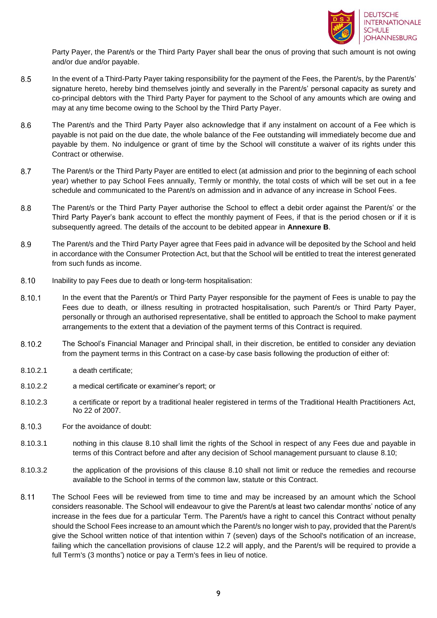

Party Payer, the Parent/s or the Third Party Payer shall bear the onus of proving that such amount is not owing and/or due and/or payable.

- 8.5 In the event of a Third-Party Payer taking responsibility for the payment of the Fees, the Parent/s, by the Parent/s' signature hereto, hereby bind themselves jointly and severally in the Parent/s' personal capacity as surety and co-principal debtors with the Third Party Payer for payment to the School of any amounts which are owing and may at any time become owing to the School by the Third Party Payer.
- 8.6 The Parent/s and the Third Party Payer also acknowledge that if any instalment on account of a Fee which is payable is not paid on the due date, the whole balance of the Fee outstanding will immediately become due and payable by them. No indulgence or grant of time by the School will constitute a waiver of its rights under this Contract or otherwise.
- 8.7 The Parent/s or the Third Party Payer are entitled to elect (at admission and prior to the beginning of each school year) whether to pay School Fees annually, Termly or monthly, the total costs of which will be set out in a fee schedule and communicated to the Parent/s on admission and in advance of any increase in School Fees.
- The Parent/s or the Third Party Payer authorise the School to effect a debit order against the Parent/s' or the 8.8 Third Party Payer's bank account to effect the monthly payment of Fees, if that is the period chosen or if it is subsequently agreed. The details of the account to be debited appear in **Annexure B**.
- 8.9 The Parent/s and the Third Party Payer agree that Fees paid in advance will be deposited by the School and held in accordance with the Consumer Protection Act, but that the School will be entitled to treat the interest generated from such funds as income.
- <span id="page-8-0"></span>8.10 Inability to pay Fees due to death or long-term hospitalisation:
- 8.10.1 In the event that the Parent/s or Third Party Payer responsible for the payment of Fees is unable to pay the Fees due to death, or illness resulting in protracted hospitalisation, such Parent/s or Third Party Payer, personally or through an authorised representative, shall be entitled to approach the School to make payment arrangements to the extent that a deviation of the payment terms of this Contract is required.
- 8.10.2 The School's Financial Manager and Principal shall, in their discretion, be entitled to consider any deviation from the payment terms in this Contract on a case-by case basis following the production of either of:
- 8.10.2.1 a death certificate;
- 8.10.2.2 a medical certificate or examiner's report; or
- 8.10.2.3 a certificate or report by a traditional healer registered in terms of the Traditional Health Practitioners Act, No 22 of 2007.
- 8.10.3 For the avoidance of doubt:
- 8.10.3.1 nothing in this clause [8.10](#page-8-0) shall limit the rights of the School in respect of any Fees due and payable in terms of this Contract before and after any decision of School management pursuant to clause [8.10;](#page-8-0)
- 8.10.3.2 the application of the provisions of this clause [8.10](#page-8-0) shall not limit or reduce the remedies and recourse available to the School in terms of the common law, statute or this Contract.
- 8.11 The School Fees will be reviewed from time to time and may be increased by an amount which the School considers reasonable. The School will endeavour to give the Parent/s at least two calendar months' notice of any increase in the fees due for a particular Term. The Parent/s have a right to cancel this Contract without penalty should the School Fees increase to an amount which the Parent/s no longer wish to pay, provided that the Parent/s give the School written notice of that intention within 7 (seven) days of the School's notification of an increase, failing which the cancellation provisions of clause [12.2](#page-9-0) will apply, and the Parent/s will be required to provide a full Term's (3 months') notice or pay a Term's fees in lieu of notice.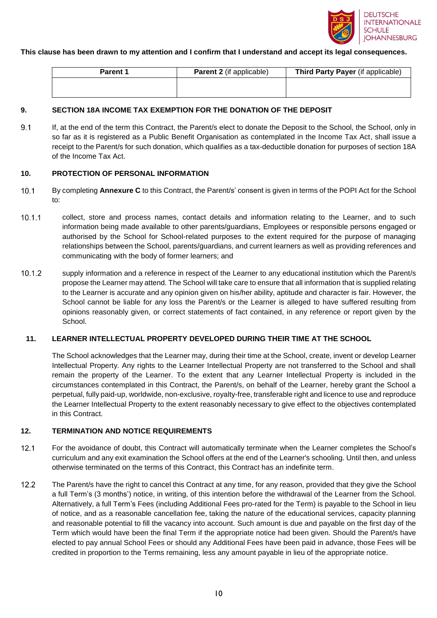

#### **This clause has been drawn to my attention and I confirm that I understand and accept its legal consequences.**

| <b>Parent 1</b> | <b>Parent 2</b> (if applicable) | Third Party Payer (if applicable) |
|-----------------|---------------------------------|-----------------------------------|
|                 |                                 |                                   |
|                 |                                 |                                   |

### **9. SECTION 18A INCOME TAX EXEMPTION FOR THE DONATION OF THE DEPOSIT**

 $9.1$ If, at the end of the term this Contract, the Parent/s elect to donate the Deposit to the School, the School, only in so far as it is registered as a Public Benefit Organisation as contemplated in the Income Tax Act, shall issue a receipt to the Parent/s for such donation, which qualifies as a tax-deductible donation for purposes of section 18A of the Income Tax Act.

### **10. PROTECTION OF PERSONAL INFORMATION**

- $10.1$ By completing **Annexure C** to this Contract, the Parent/s' consent is given in terms of the POPI Act for the School to:
- $10.1.1$ collect, store and process names, contact details and information relating to the Learner, and to such information being made available to other parents/guardians, Employees or responsible persons engaged or authorised by the School for School-related purposes to the extent required for the purpose of managing relationships between the School, parents/guardians, and current learners as well as providing references and communicating with the body of former learners; and
- $10.1.2$ supply information and a reference in respect of the Learner to any educational institution which the Parent/s propose the Learner may attend. The School will take care to ensure that all information that is supplied relating to the Learner is accurate and any opinion given on his/her ability, aptitude and character is fair. However, the School cannot be liable for any loss the Parent/s or the Learner is alleged to have suffered resulting from opinions reasonably given, or correct statements of fact contained, in any reference or report given by the School.

### **11. LEARNER INTELLECTUAL PROPERTY DEVELOPED DURING THEIR TIME AT THE SCHOOL**

The School acknowledges that the Learner may, during their time at the School, create, invent or develop Learner Intellectual Property. Any rights to the Learner Intellectual Property are not transferred to the School and shall remain the property of the Learner. To the extent that any Learner Intellectual Property is included in the circumstances contemplated in this Contract, the Parent/s, on behalf of the Learner, hereby grant the School a perpetual, fully paid-up, worldwide, non-exclusive, royalty-free, transferable right and licence to use and reproduce the Learner Intellectual Property to the extent reasonably necessary to give effect to the objectives contemplated in this Contract.

### **12. TERMINATION AND NOTICE REQUIREMENTS**

- $12.1$ For the avoidance of doubt, this Contract will automatically terminate when the Learner completes the School's curriculum and any exit examination the School offers at the end of the Learner's schooling. Until then, and unless otherwise terminated on the terms of this Contract, this Contract has an indefinite term.
- <span id="page-9-0"></span> $12.2$ The Parent/s have the right to cancel this Contract at any time, for any reason, provided that they give the School a full Term's (3 months') notice, in writing, of this intention before the withdrawal of the Learner from the School. Alternatively, a full Term's Fees (including Additional Fees pro-rated for the Term) is payable to the School in lieu of notice, and as a reasonable cancellation fee, taking the nature of the educational services, capacity planning and reasonable potential to fill the vacancy into account. Such amount is due and payable on the first day of the Term which would have been the final Term if the appropriate notice had been given. Should the Parent/s have elected to pay annual School Fees or should any Additional Fees have been paid in advance, those Fees will be credited in proportion to the Terms remaining, less any amount payable in lieu of the appropriate notice.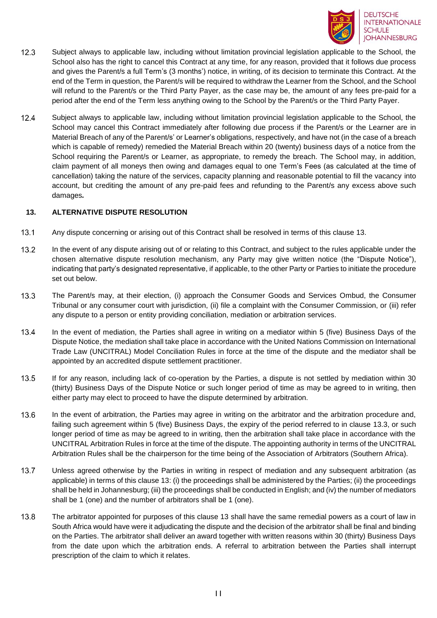

- $12.3$ Subject always to applicable law, including without limitation provincial legislation applicable to the School, the School also has the right to cancel this Contract at any time, for any reason, provided that it follows due process and gives the Parent/s a full Term's (3 months') notice, in writing, of its decision to terminate this Contract. At the end of the Term in question, the Parent/s will be required to withdraw the Learner from the School, and the School will refund to the Parent/s or the Third Party Payer, as the case may be, the amount of any fees pre-paid for a period after the end of the Term less anything owing to the School by the Parent/s or the Third Party Payer.
- $12.4$ Subject always to applicable law, including without limitation provincial legislation applicable to the School, the School may cancel this Contract immediately after following due process if the Parent/s or the Learner are in Material Breach of any of the Parent/s' or Learner's obligations, respectively, and have not (in the case of a breach which is capable of remedy) remedied the Material Breach within 20 (twenty) business days of a notice from the School requiring the Parent/s or Learner, as appropriate, to remedy the breach. The School may, in addition, claim payment of all moneys then owing and damages equal to one Term's Fees (as calculated at the time of cancellation) taking the nature of the services, capacity planning and reasonable potential to fill the vacancy into account, but crediting the amount of any pre-paid fees and refunding to the Parent/s any excess above such damages*.*

### <span id="page-10-0"></span>**13. ALTERNATIVE DISPUTE RESOLUTION**

- $13.1$ Any dispute concerning or arising out of this Contract shall be resolved in terms of this clause 13.
- $13.2$ In the event of any dispute arising out of or relating to this Contract, and subject to the rules applicable under the chosen alternative dispute resolution mechanism, any Party may give written notice (the "Dispute Notice"), indicating that party's designated representative, if applicable, to the other Party or Parties to initiate the procedure set out below.
- 13.3 The Parent/s may, at their election, (i) approach the Consumer Goods and Services Ombud, the Consumer Tribunal or any consumer court with jurisdiction, (ii) file a complaint with the Consumer Commission, or (iii) refer any dispute to a person or entity providing conciliation, mediation or arbitration services.
- 13.4 In the event of mediation, the Parties shall agree in writing on a mediator within 5 (five) Business Days of the Dispute Notice, the mediation shall take place in accordance with the United Nations Commission on International Trade Law (UNCITRAL) Model Conciliation Rules in force at the time of the dispute and the mediator shall be appointed by an accredited dispute settlement practitioner.
- 13.5 If for any reason, including lack of co-operation by the Parties, a dispute is not settled by mediation within 30 (thirty) Business Days of the Dispute Notice or such longer period of time as may be agreed to in writing, then either party may elect to proceed to have the dispute determined by arbitration.
- 13.6 In the event of arbitration, the Parties may agree in writing on the arbitrator and the arbitration procedure and, failing such agreement within 5 (five) Business Days, the expiry of the period referred to in clause 13.3, or such longer period of time as may be agreed to in writing, then the arbitration shall take place in accordance with the UNCITRAL Arbitration Rules in force at the time of the dispute. The appointing authority in terms of the UNCITRAL Arbitration Rules shall be the chairperson for the time being of the Association of Arbitrators (Southern Africa).
- 13.7 Unless agreed otherwise by the Parties in writing in respect of mediation and any subsequent arbitration (as applicable) in terms of this clause 13: (i) the proceedings shall be administered by the Parties; (ii) the proceedings shall be held in Johannesburg; (iii) the proceedings shall be conducted in English; and (iv) the number of mediators shall be 1 (one) and the number of arbitrators shall be 1 (one).
- 13.8 The arbitrator appointed for purposes of this clause 13 shall have the same remedial powers as a court of law in South Africa would have were it adjudicating the dispute and the decision of the arbitrator shall be final and binding on the Parties. The arbitrator shall deliver an award together with written reasons within 30 (thirty) Business Days from the date upon which the arbitration ends. A referral to arbitration between the Parties shall interrupt prescription of the claim to which it relates.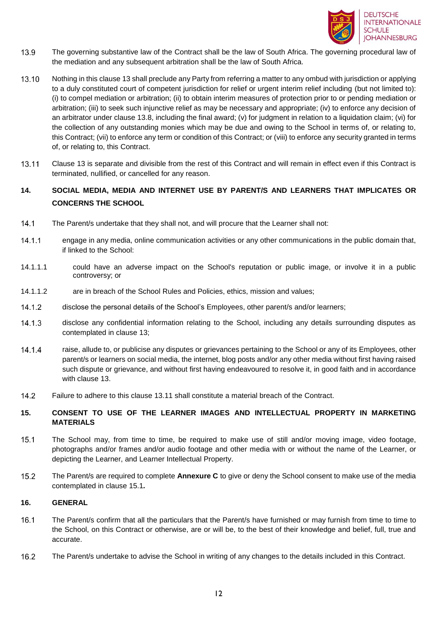

- 13.9 The governing substantive law of the Contract shall be the law of South Africa. The governing procedural law of the mediation and any subsequent arbitration shall be the law of South Africa.
- 13.10 Nothing in this clause 13 shall preclude any Party from referring a matter to any ombud with jurisdiction or applying to a duly constituted court of competent jurisdiction for relief or urgent interim relief including (but not limited to): (i) to compel mediation or arbitration; (ii) to obtain interim measures of protection prior to or pending mediation or arbitration; (iii) to seek such injunctive relief as may be necessary and appropriate; (iv) to enforce any decision of an arbitrator under clause 13.8, including the final award; (v) for judgment in relation to a liquidation claim; (vi) for the collection of any outstanding monies which may be due and owing to the School in terms of, or relating to, this Contract; (vii) to enforce any term or condition of this Contract; or (viii) to enforce any security granted in terms of, or relating to, this Contract.
- <span id="page-11-0"></span>13.11 Clause 13 is separate and divisible from the rest of this Contract and will remain in effect even if this Contract is terminated, nullified, or cancelled for any reason.

### **14. SOCIAL MEDIA, MEDIA AND INTERNET USE BY PARENT/S AND LEARNERS THAT IMPLICATES OR CONCERNS THE SCHOOL**

- $14.1$ The Parent/s undertake that they shall not, and will procure that the Learner shall not:
- $14.1.1$ engage in any media, online communication activities or any other communications in the public domain that, if linked to the School:
- 14.1.1.1 could have an adverse impact on the School's reputation or public image, or involve it in a public controversy; or
- 14.1.1.2 are in breach of the School Rules and Policies, ethics, mission and values;
- $14.1.2$ disclose the personal details of the School's Employees, other parent/s and/or learners;
- $14.1.3$ disclose any confidential information relating to the School, including any details surrounding disputes as contemplated in clause 13;
- 14.1.4 raise, allude to, or publicise any disputes or grievances pertaining to the School or any of its Employees, other parent/s or learners on social media, the internet, blog posts and/or any other media without first having raised such dispute or grievance, and without first having endeavoured to resolve it, in good faith and in accordance with clause 13.
- $14.2$ Failure to adhere to this clause [13.11](#page-11-0) shall constitute a material breach of the Contract.

### **15. CONSENT TO USE OF THE LEARNER IMAGES AND INTELLECTUAL PROPERTY IN MARKETING MATERIALS**

- <span id="page-11-1"></span> $15.1$ The School may, from time to time, be required to make use of still and/or moving image, video footage, photographs and/or frames and/or audio footage and other media with or without the name of the Learner, or depicting the Learner, and Learner Intellectual Property.
- $15.2$ The Parent/s are required to complete **Annexure C** to give or deny the School consent to make use of the media contemplated in clause [15.1](#page-11-1)*.*

### **16. GENERAL**

- $16.1$ The Parent/s confirm that all the particulars that the Parent/s have furnished or may furnish from time to time to the School, on this Contract or otherwise, are or will be, to the best of their knowledge and belief, full, true and accurate.
- $16.2$ The Parent/s undertake to advise the School in writing of any changes to the details included in this Contract.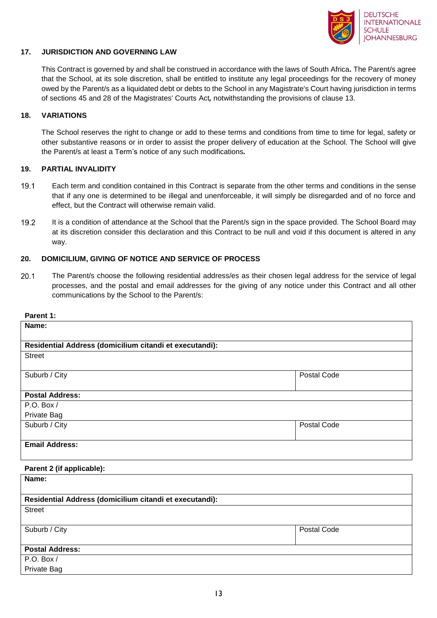

### **17. JURISDICTION AND GOVERNING LAW**

This Contract is governed by and shall be construed in accordance with the laws of South Africa*.* The Parent/s agree that the School, at its sole discretion, shall be entitled to institute any legal proceedings for the recovery of money owed by the Parent/s as a liquidated debt or debts to the School in any Magistrate's Court having jurisdiction in terms of sections 45 and 28 of the Magistrates' Courts Act*,* notwithstanding the provisions of clause [13.](#page-10-0)

### **18. VARIATIONS**

The School reserves the right to change or add to these terms and conditions from time to time for legal, safety or other substantive reasons or in order to assist the proper delivery of education at the School. The School will give the Parent/s at least a Term's notice of any such modifications*.*

### **19. PARTIAL INVALIDITY**

- $19.1$ Each term and condition contained in this Contract is separate from the other terms and conditions in the sense that if any one is determined to be illegal and unenforceable, it will simply be disregarded and of no force and effect, but the Contract will otherwise remain valid.
- $19.2$ It is a condition of attendance at the School that the Parent/s sign in the space provided. The School Board may at its discretion consider this declaration and this Contract to be null and void if this document is altered in any way.

### **20. DOMICILIUM, GIVING OF NOTICE AND SERVICE OF PROCESS**

 $20.1$ The Parent/s choose the following residential address/es as their chosen legal address for the service of legal processes, and the postal and email addresses for the giving of any notice under this Contract and all other communications by the School to the Parent/s:

#### **Parent 1:**

| Name:                                                   |                    |
|---------------------------------------------------------|--------------------|
| Residential Address (domicilium citandi et executandi): |                    |
| <b>Street</b>                                           |                    |
| Suburb / City                                           | Postal Code        |
| <b>Postal Address:</b>                                  |                    |
| P.O. Box /                                              |                    |
| Private Bag                                             |                    |
| Suburb / City                                           | <b>Postal Code</b> |
| <b>Email Address:</b>                                   |                    |
| Parent 2 (if applicable):                               |                    |
| Name:                                                   |                    |
| Residential Address (domicilium citandi et executandi): |                    |
| <b>Street</b>                                           |                    |
| Suburb / City                                           | Postal Code        |
| <b>Postal Address:</b>                                  |                    |
| P.O. Box /                                              |                    |

Private Bag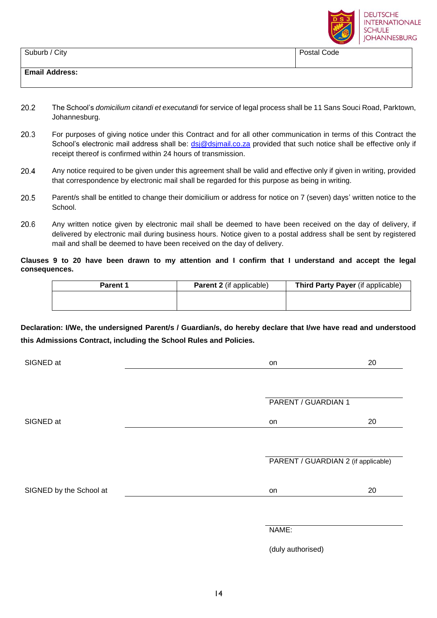

| Suburb / City         | Postal Code |
|-----------------------|-------------|
|                       |             |
| <b>Email Address:</b> |             |
|                       |             |

- $20.2$ The School's *domicilium citandi et executandi* for service of legal process shall be 11 Sans Souci Road, Parktown, Johannesburg.
- $20.3$ For purposes of giving notice under this Contract and for all other communication in terms of this Contract the School's electronic mail address shall be: [dsj@dsjmail.co.za](mailto:dsj@dsjmail.co.za) provided that such notice shall be effective only if receipt thereof is confirmed within 24 hours of transmission.
- 20.4 Any notice required to be given under this agreement shall be valid and effective only if given in writing, provided that correspondence by electronic mail shall be regarded for this purpose as being in writing.
- 20.5 Parent/s shall be entitled to change their domicilium or address for notice on 7 (seven) days' written notice to the School.
- 20.6 Any written notice given by electronic mail shall be deemed to have been received on the day of delivery, if delivered by electronic mail during business hours. Notice given to a postal address shall be sent by registered mail and shall be deemed to have been received on the day of delivery.

### **Clauses 9 to 20 have been drawn to my attention and I confirm that I understand and accept the legal consequences.**

| <b>Parent 1</b> | <b>Parent 2</b> (if applicable) | Third Party Payer (if applicable) |
|-----------------|---------------------------------|-----------------------------------|
|                 |                                 |                                   |
|                 |                                 |                                   |

**Declaration: I/We, the undersigned Parent/s / Guardian/s, do hereby declare that I/we have read and understood this Admissions Contract, including the School Rules and Policies.** 

| SIGNED at               | on                  | 20                                  |
|-------------------------|---------------------|-------------------------------------|
|                         |                     |                                     |
|                         | PARENT / GUARDIAN 1 |                                     |
| SIGNED at               | on                  | 20                                  |
|                         |                     |                                     |
|                         |                     | PARENT / GUARDIAN 2 (if applicable) |
| SIGNED by the School at | on                  | 20                                  |
|                         |                     |                                     |
|                         | NAME:               |                                     |

(duly authorised)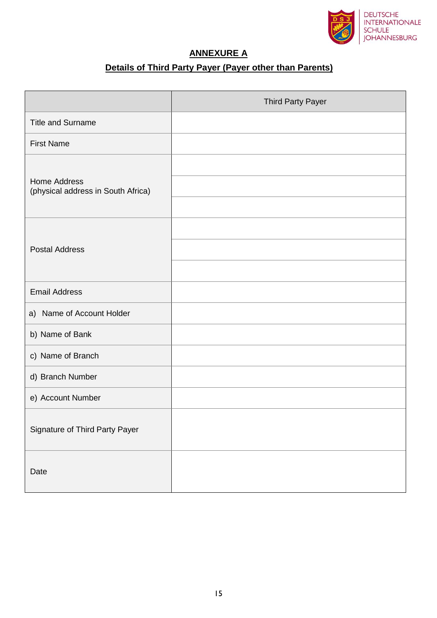

# **ANNEXURE A**

# **Details of Third Party Payer (Payer other than Parents)**

|                                                           | Third Party Payer |
|-----------------------------------------------------------|-------------------|
| <b>Title and Surname</b>                                  |                   |
| <b>First Name</b>                                         |                   |
| <b>Home Address</b><br>(physical address in South Africa) |                   |
| <b>Postal Address</b>                                     |                   |
| <b>Email Address</b>                                      |                   |
| a) Name of Account Holder                                 |                   |
| b) Name of Bank                                           |                   |
| c) Name of Branch                                         |                   |
| d) Branch Number                                          |                   |
| e) Account Number                                         |                   |
| Signature of Third Party Payer                            |                   |
| Date                                                      |                   |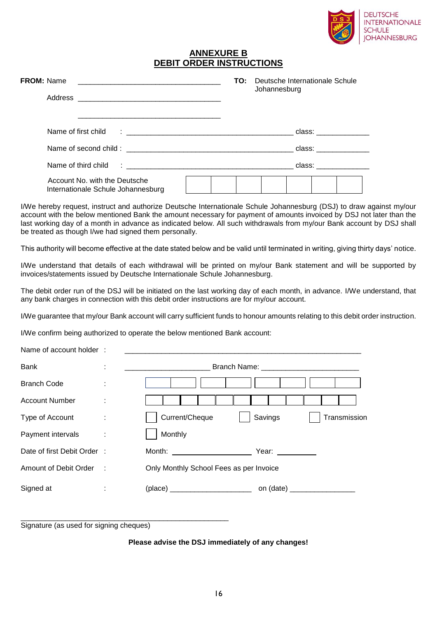

### **ANNEXURE B DEBIT ORDER INSTRUCTIONS**

| <b>FROM: Name</b><br><u> 1989 - Johann Stein, marwolaethau a bhann an t-Amhraid ann an t-Amhraid ann an t-Amhraid ann an t-Amhraid ann </u> | <b>TO:</b> Deutsche Internationale Schule<br>Johannesburg                                                      |
|---------------------------------------------------------------------------------------------------------------------------------------------|----------------------------------------------------------------------------------------------------------------|
|                                                                                                                                             |                                                                                                                |
|                                                                                                                                             |                                                                                                                |
| Name of first child<br><u> 1980 - Jan James James Barnett, fransk politik (d. 1980)</u>                                                     | class: and a set of the set of the set of the set of the set of the set of the set of the set of the set of th |
|                                                                                                                                             | class: ______________                                                                                          |
|                                                                                                                                             | class:___________                                                                                              |
| Account No. with the Deutsche<br>Internationale Schule Johannesburg                                                                         |                                                                                                                |

I/We hereby request, instruct and authorize Deutsche Internationale Schule Johannesburg (DSJ) to draw against my/our account with the below mentioned Bank the amount necessary for payment of amounts invoiced by DSJ not later than the last working day of a month in advance as indicated below. All such withdrawals from my/our Bank account by DSJ shall be treated as though I/we had signed them personally.

This authority will become effective at the date stated below and be valid until terminated in writing, giving thirty days' notice.

I/We understand that details of each withdrawal will be printed on my/our Bank statement and will be supported by invoices/statements issued by Deutsche Internationale Schule Johannesburg.

The debit order run of the DSJ will be initiated on the last working day of each month, in advance. I/We understand, that any bank charges in connection with this debit order instructions are for my/our account.

I/We guarantee that my/our Bank account will carry sufficient funds to honour amounts relating to this debit order instruction.

I/We confirm being authorized to operate the below mentioned Bank account:

| Name of account holder:    |   |                                                          |
|----------------------------|---|----------------------------------------------------------|
| <b>Bank</b>                | ÷ |                                                          |
| <b>Branch Code</b>         | ÷ |                                                          |
| <b>Account Number</b>      | ÷ |                                                          |
| Type of Account            | ÷ | Current/Cheque<br>Savings<br>Transmission                |
| Payment intervals          | ÷ | Monthly                                                  |
| Date of first Debit Order: |   | Month: _________________________<br>Year: <u>_______</u> |
| Amount of Debit Order :    |   | Only Monthly School Fees as per Invoice                  |
| Signed at                  | ÷ |                                                          |
|                            |   |                                                          |

Signature (as used for signing cheques)

\_\_\_\_\_\_\_\_\_\_\_\_\_\_\_\_\_\_\_\_\_\_\_\_\_\_\_\_\_\_\_\_\_\_\_\_\_\_\_\_\_\_\_\_\_\_\_\_\_\_\_

#### **Please advise the DSJ immediately of any changes!**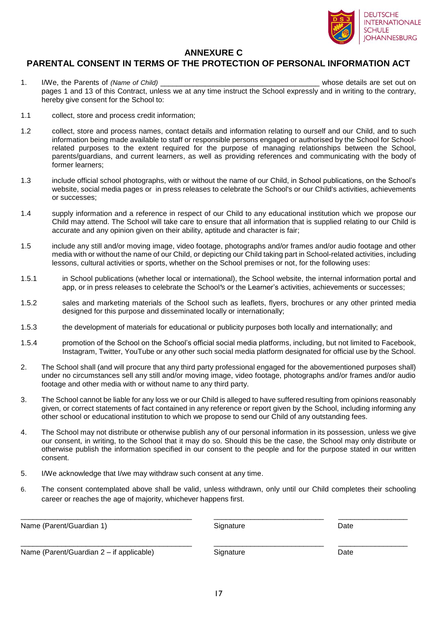

### **ANNEXURE C**

# **PARENTAL CONSENT IN TERMS OF THE PROTECTION OF PERSONAL INFORMATION ACT**

- 1. I/We, the Parents of *(Name of Child)* and the set of *Child* and the set out on the set out on the set out on the set out on the set out on the set out on the set out on the set out on the set out on the set out on the pages 1 and 13 of this Contract, unless we at any time instruct the School expressly and in writing to the contrary, hereby give consent for the School to:
- 1.1 collect, store and process credit information;

1.2 collect, store and process names, contact details and information relating to ourself and our Child, and to such information being made available to staff or responsible persons engaged or authorised by the School for Schoolrelated purposes to the extent required for the purpose of managing relationships between the School, parents/guardians, and current learners, as well as providing references and communicating with the body of former learners;

- 1.3 include official school photographs, with or without the name of our Child, in School publications, on the School's website, social media pages or in press releases to celebrate the School's or our Child's activities, achievements or successes;
- 1.4 supply information and a reference in respect of our Child to any educational institution which we propose our Child may attend. The School will take care to ensure that all information that is supplied relating to our Child is accurate and any opinion given on their ability, aptitude and character is fair;
- 1.5 include any still and/or moving image, video footage, photographs and/or frames and/or audio footage and other media with or without the name of our Child, or depicting our Child taking part in School-related activities, including lessons, cultural activities or sports, whether on the School premises or not, for the following uses:
- 1.5.1 in School publications (whether local or international), the School website, the internal information portal and app, or in press releases to celebrate the School*'*s or the Learner's activities, achievements or successes;
- 1.5.2 sales and marketing materials of the School such as leaflets, flyers, brochures or any other printed media designed for this purpose and disseminated locally or internationally;
- 1.5.3 the development of materials for educational or publicity purposes both locally and internationally; and
- 1.5.4 promotion of the School on the School's official social media platforms, including, but not limited to Facebook, Instagram, Twitter, YouTube or any other such social media platform designated for official use by the School.
- 2. The School shall (and will procure that any third party professional engaged for the abovementioned purposes shall) under no circumstances sell any still and/or moving image, video footage, photographs and/or frames and/or audio footage and other media with or without name to any third party.
- 3. The School cannot be liable for any loss we or our Child is alleged to have suffered resulting from opinions reasonably given, or correct statements of fact contained in any reference or report given by the School, including informing any other school or educational institution to which we propose to send our Child of any outstanding fees.
- 4. The School may not distribute or otherwise publish any of our personal information in its possession, unless we give our consent, in writing, to the School that it may do so. Should this be the case, the School may only distribute or otherwise publish the information specified in our consent to the people and for the purpose stated in our written consent.
- 5. I/We acknowledge that I/we may withdraw such consent at any time.
- 6. The consent contemplated above shall be valid, unless withdrawn, only until our Child completes their schooling career or reaches the age of majority, whichever happens first.

| Name (Parent/Guardian 1)                 | Signature | Date |
|------------------------------------------|-----------|------|
| Name (Parent/Guardian 2 – if applicable) | Signature | Date |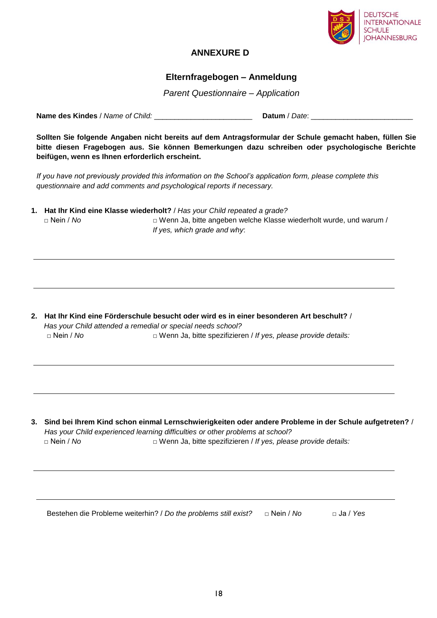

## **ANNEXURE D**

### **Elternfragebogen – Anmeldung**

*Parent Questionnaire – Application*

**Name des Kindes** / *Name of Child:* \_\_\_\_\_\_\_\_\_\_\_\_\_\_\_\_\_\_\_\_\_\_\_\_ **Datum** / *Date*: \_\_\_\_\_\_\_\_\_\_\_\_\_\_\_\_\_\_\_\_\_\_\_\_\_

**Sollten Sie folgende Angaben nicht bereits auf dem Antragsformular der Schule gemacht haben, füllen Sie bitte diesen Fragebogen aus. Sie können Bemerkungen dazu schreiben oder psychologische Berichte beifügen, wenn es Ihnen erforderlich erscheint.** 

*If you have not previously provided this information on the School's application form, please complete this questionnaire and add comments and psychological reports if necessary.*

**1. Hat Ihr Kind eine Klasse wiederholt?** / *Has your Child repeated a grade?* □ Nein / *No* □ Wenn Ja, bitte angeben welche Klasse wiederholt wurde, und warum / *If yes, which grade and why*:

**2. Hat Ihr Kind eine Förderschule besucht oder wird es in einer besonderen Art beschult?** / *Has your Child attended a remedial or special needs school?* □ Nein / *No* □ **D** Wenn Ja, bitte spezifizieren / *If yes, please provide details:* 

**3. Sind bei Ihrem Kind schon einmal Lernschwierigkeiten oder andere Probleme in der Schule aufgetreten?** / *Has your Child experienced learning difficulties or other problems at school?* □ Nein / *No* □ **D** © Wenn Ja, bitte spezifizieren / *If yes, please provide details:* 

Bestehen die Probleme weiterhin? / *Do the problems still exist*? □ Nein / No □ Ja / Yes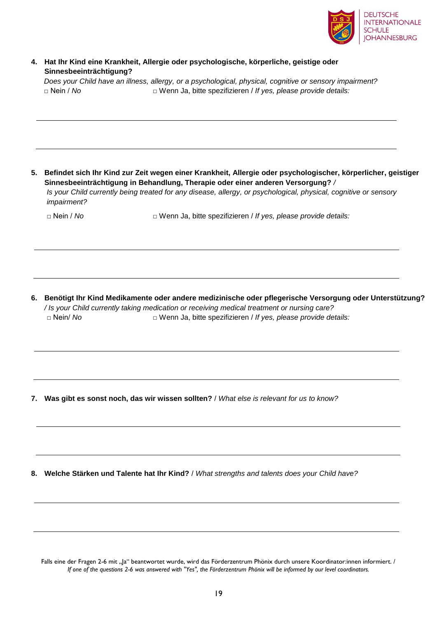

### **4. Hat Ihr Kind eine Krankheit, Allergie oder psychologische, körperliche, geistige oder Sinnesbeeinträchtigung?**

*Does your Child have an illness, allergy, or a psychological, physical, cognitive or sensory impairment?* □ Nein / *No* □ Wenn Ja, bitte spezifizieren / *If yes, please provide details:*

**5. Befindet sich Ihr Kind zur Zeit wegen einer Krankheit, Allergie oder psychologischer, körperlicher, geistiger Sinnesbeeinträchtigung in Behandlung, Therapie oder einer anderen Versorgung?** */* 

*Is your Child currently being treated for any disease, allergy, or psychological, physical, cognitive or sensory impairment?* 

□ Nein / *No* □ Wenn Ja, bitte spezifizieren / *If yes, please provide details:*

**6. Benötigt Ihr Kind Medikamente oder andere medizinische oder pflegerische Versorgung oder Unterstützung?**  */ Is your Child currently taking medication or receiving medical treatment or nursing care?*  □ Nein/ *No* □ Wenn Ja, bitte spezifizieren / *If yes, please provide details:*

**7. Was gibt es sonst noch, das wir wissen sollten?** / *What else is relevant for us to know?*

**8. Welche Stärken und Talente hat Ihr Kind?** / *What strengths and talents does your Child have?*

Falls eine der Fragen 2-6 mit "Ja" beantwortet wurde, wird das Förderzentrum Phönix durch unsere Koordinator:innen informiert. / *If one of the questions 2-6 was answered with "Yes", the Förderzentrum Phönix will be informed by our level coordinators.*